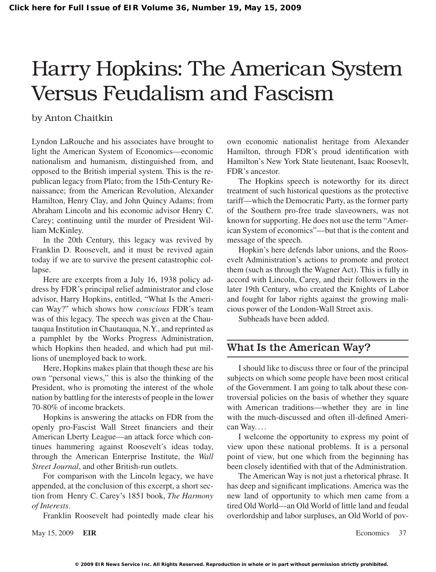# Harry Hopkins: The American System Versus Feudalism and Fascism

## by Anton Chaitkin

Lyndon LaRouche and his associates have brought to light the American System of Economics—economic nationalism and humanism, distinguished from, and opposed to the British imperial system. This is the republican legacy from Plato; from the 15th-Century Renaissance; from the American Revolution, Alexander Hamilton, Henry Clay, and John Quincy Adams; from Abraham Lincoln and his economic advisor Henry C. Carey; continuing until the murder of President William McKinley.

In the 20th Century, this legacy was revived by Franklin D. Roosevelt, and it must be revived again today if we are to survive the present catastrophic collapse.

Here are excerpts from a July 16, 1938 policy address by FDR's principal relief administrator and close advisor, Harry Hopkins, entitled, "What Is the American Way?" which shows how *conscious* FDR's team was of this legacy. The speech was given at the Chautauqua Institution in Chautauqua, N.Y., and reprinted as a pamphlet by the Works Progress Administration, which Hopkins then headed, and which had put millions of unemployed back to work.

Here, Hopkins makes plain that though these are his own "personal views," this is also the thinking of the President, who is promoting the interest of the whole nation by battling for the interests of people in the lower 70-80% of income brackets.

Hopkins is answering the attacks on FDR from the openly pro-Fascist Wall Street financiers and their American Lberty League—an attack force which continues hammering against Roosevelt's ideas today, through the American Enterprise Institute, the *Wall Street Journal*, and other British-run outlets.

For comparison with the Lincoln legacy, we have appended, at the conclusion of this excerpt, a short section from Henry C. Carey's 1851 book, *The Harmony of Interests*.

Franklin Roosevelt had pointedly made clear his

May 15, 2009 **EIR** Economics 37

own economic nationalist heritage from Alexander Hamilton, through FDR's proud identification with Hamilton's New York State lieutenant, Isaac Roosevlt, FDR's ancestor.

The Hopkins speech is noteworthy for its direct treatment of such historical questions as the protective tariff—which the Democratic Party, as the former party of the Southern pro-free trade slaveowners, was not known for supporting. He does not use the term "American System of economics"—but that is the content and message of the speech.

Hopkin's here defends labor unions, and the Roosevelt Administration's actions to promote and protect them (such as through the Wagner Act). This is fully in accord with Lincoln, Carey, and their followers in the later 19th Century, who created the Knights of Labor and fought for labor rights against the growing malicious power of the London-Wall Street axis.

Subheads have been added.

# What Is the American Way?

I should like to discuss three or four of the principal subjects on which some people have been most critical of the Government. I am going to talk about these controversial policies on the basis of whether they square with American traditions—whether they are in line with the much-discussed and often ill-defined American Way....

I welcome the opportunity to express my point of view upon these national problems. It is a personal point of view, but one which from the beginning has been closely identified with that of the Administration.

The American Way is not just a rhetorical phrase. It has deep and significant implications. America was the new land of opportunity to which men came from a tired Old World—an Old World of little land and feudal overlordship and labor surpluses, an Old World of pov-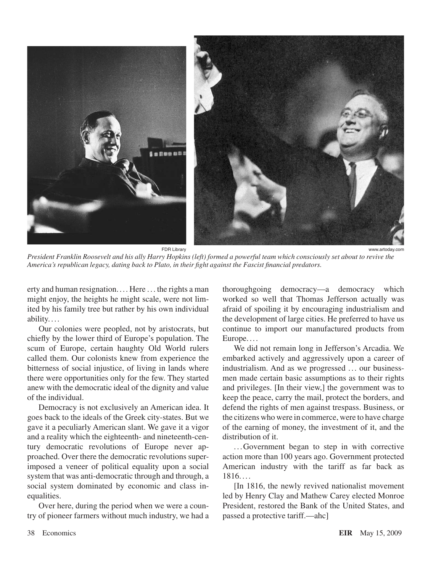

*President Franklin Roosevelt and his ally Harry Hopkins (left) formed a powerful team which consciously set about to revive the America's republican legacy, dating back to Plato, in their fight against the Fascist financial predators.*

erty and human resignation. . .. Here ... the rights a man might enjoy, the heights he might scale, were not limited by his family tree but rather by his own individual ability....

Our colonies were peopled, not by aristocrats, but chiefly by the lower third of Europe's population. The scum of Europe, certain haughty Old World rulers called them. Our colonists knew from experience the bitterness of social injustice, of living in lands where there were opportunities only for the few. They started anew with the democratic ideal of the dignity and value of the individual.

Democracy is not exclusively an American idea. It goes back to the ideals of the Greek city-states. But we gave it a peculiarly American slant. We gave it a vigor and a reality which the eighteenth- and nineteenth-century democratic revolutions of Europe never approached. Over there the democratic revolutions superimposed a veneer of political equality upon a social system that was anti-democratic through and through, a social system dominated by economic and class inequalities.

Over here, during the period when we were a country of pioneer farmers without much industry, we had a thoroughgoing democracy—a democracy which worked so well that Thomas Jefferson actually was afraid of spoiling it by encouraging industrialism and the development of large cities. He preferred to have us continue to import our manufactured products from Europe. ...

We did not remain long in Jefferson's Arcadia. We embarked actively and aggressively upon a career of industrialism. And as we progressed ... our businessmen made certain basic assumptions as to their rights and privileges. [In their view,] the government was to keep the peace, carry the mail, protect the borders, and defend the rights of men against trespass. Business, or the citizens who were in commerce, were to have charge of the earning of money, the investment of it, and the distribution of it.

... Government began to step in with corrective action more than 100 years ago. Government protected American industry with the tariff as far back as 1816....

[In 1816, the newly revived nationalist movement led by Henry Clay and Mathew Carey elected Monroe President, restored the Bank of the United States, and passed a protective tariff.—ahc]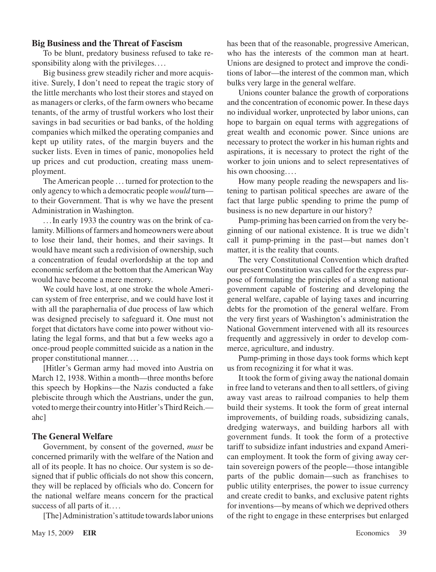#### **Big Business and the Threat of Fascism**

To be blunt, predatory business refused to take responsibility along with the privileges. ...

Big business grew steadily richer and more acquisitive. Surely, I don't need to repeat the tragic story of the little merchants who lost their stores and stayed on as managers or clerks, of the farm owners who became tenants, of the army of trustful workers who lost their savings in bad securities or bad banks, of the holding companies which milked the operating companies and kept up utility rates, of the margin buyers and the sucker lists. Even in times of panic, monopolies held up prices and cut production, creating mass unemployment.

The American people ... turned for protection to the only agency to which a democratic people *would* turn to their Government. That is why we have the present Administration in Washington.

. . .In early 1933 the country was on the brink of calamity. Millions of farmers and homeowners were about to lose their land, their homes, and their savings. It would have meant such a redivision of ownership, such a concentration of feudal overlordship at the top and economic serfdom at the bottom that the American Way would have become a mere memory.

We could have lost, at one stroke the whole American system of free enterprise, and we could have lost it with all the paraphernalia of due process of law which was designed precisely to safeguard it. One must not forget that dictators have come into power without violating the legal forms, and that but a few weeks ago a once-proud people committed suicide as a nation in the proper constitutional manner. ...

[Hitler's German army had moved into Austria on March 12, 1938. Within a month—three months before this speech by Hopkins—the Nazis conducted a fake plebiscite through which the Austrians, under the gun, voted to merge their country into Hitler's Third Reich. ahc]

#### **The General Welfare**

Government, by consent of the governed, *must* be concerned primarily with the welfare of the Nation and all of its people. It has no choice. Our system is so designed that if public officials do not show this concern, they will be replaced by officials who do. Concern for the national welfare means concern for the practical success of all parts of it....

[The] Administration's attitude towards labor unions

has been that of the reasonable, progressive American, who has the interests of the common man at heart. Unions are designed to protect and improve the conditions of labor—the interest of the common man, which bulks very large in the general welfare.

Unions counter balance the growth of corporations and the concentration of economic power. In these days no individual worker, unprotected by labor unions, can hope to bargain on equal terms with aggregations of great wealth and economic power. Since unions are necessary to protect the worker in his human rights and aspirations, it is necessary to protect the right of the worker to join unions and to select representatives of his own choosing....

How many people reading the newspapers and listening to partisan political speeches are aware of the fact that large public spending to prime the pump of business is no new departure in our history?

Pump-priming has been carried on from the very beginning of our national existence. It is true we didn't call it pump-priming in the past—but names don't matter, it is the reality that counts.

The very Constitutional Convention which drafted our present Constitution was called for the express purpose of formulating the principles of a strong national government capable of fostering and developing the general welfare, capable of laying taxes and incurring debts for the promotion of the general welfare. From the very first years of Washington's administration the National Government intervened with all its resources frequently and aggressively in order to develop commerce, agriculture, and industry.

Pump-priming in those days took forms which kept us from recognizing it for what it was.

It took the form of giving away the national domain in free land to veterans and then to allsettlers, of giving away vast areas to railroad companies to help them build their systems. It took the form of great internal improvements, of building roads, subsidizing canals, dredging waterways, and building harbors all with government funds. It took the form of a protective tariff to subsidize infant industries and expand American employment. It took the form of giving away certain sovereign powers of the people—those intangible parts of the public domain—such as franchises to public utility enterprises, the power to issue currency and create credit to banks, and exclusive patent rights for inventions—by means of which we deprived others of the right to engage in these enterprises but enlarged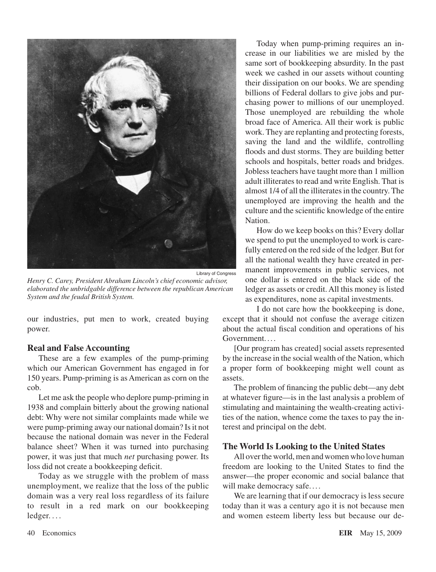

*Henry C. Carey, President Abraham Lincoln's chief economic advisor, elaborated the unbridgable difference between the republican American System and the feudal British System.*

our industries, put men to work, created buying power.

## **Real and False Accounting**

These are a few examples of the pump-priming which our American Government has engaged in for 150 years. Pump-priming is as American as corn on the cob.

Let me ask the people who deplore pump-priming in 1938 and complain bitterly about the growing national debt: Why were not similar complaints made while we were pump-priming away our national domain? Is it not because the national domain was never in the Federal balance sheet? When it was turned into purchasing power, it was just that much *net* purchasing power. Its loss did not create a bookkeeping deficit.

Today as we struggle with the problem of mass unemployment, we realize that the loss of the public domain was a very real loss regardless of its failure to result in a red mark on our bookkeeping ledger. . . .

Today when pump-priming requires an increase in our liabilities we are misled by the same sort of bookkeeping absurdity. In the past week we cashed in our assets without counting their dissipation on our books. We are spending billions of Federal dollars to give jobs and purchasing power to millions of our unemployed. Those unemployed are rebuilding the whole broad face of America. All their work is public work. They are replanting and protecting forests, saving the land and the wildlife, controlling floods and dust storms. They are building better schools and hospitals, better roads and bridges. Jobless teachers have taught more than 1 million adult illiterates to read and write English. That is almost 1/4 of all the illiteratesin the country. The unemployed are improving the health and the culture and the scientific knowledge of the entire Nation.

How do we keep books on this? Every dollar we spend to put the unemployed to work is carefully entered on the red side of the ledger. But for all the national wealth they have created in permanent improvements in public services, not one dollar is entered on the black side of the ledger as assets or credit. All this money is listed as expenditures, none as capital investments.

I do not care how the bookkeeping is done, except that it should not confuse the average citizen about the actual fiscal condition and operations of his Government

[Our program has created] social assets represented by the increase in the social wealth of the Nation, which a proper form of bookkeeping might well count as assets.

The problem of financing the public debt—any debt at whatever figure—is in the last analysis a problem of stimulating and maintaining the wealth-creating activities of the nation, whence come the taxes to pay the interest and principal on the debt.

## **The World Is Looking to the United States**

All over the world, men and women who love human freedom are looking to the United States to find the answer—the proper economic and social balance that will make democracy safe....

We are learning that if our democracy is less secure today than it was a century ago it is not because men and women esteem liberty less but because our de